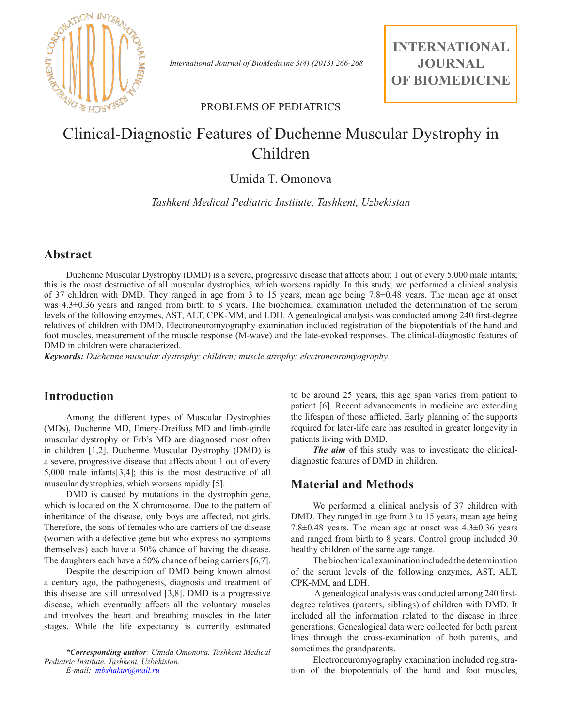

 *International Journal of BioMedicine 3(4) (2013) 266-268*

**INTERNATIONAL JOURNAL OF BIOMEDICINE**

#### PROBLEMS OF PEDIATRICS

# Clinical-Diagnostic Features of Duchenne Muscular Dystrophy in Children

## Umida T. Omonova

*Tashkent Medical Pediatric Institute, Tashkent, Uzbekistan*

#### **Abstract**

Duchenne Muscular Dystrophy (DMD) is a severe, progressive disease that affects about 1 out of every 5,000 male infants; this is the most destructive of all muscular dystrophies, which worsens rapidly. In this study, we performed a clinical analysis of 37 children with DMD. They ranged in age from 3 to 15 years, mean age being 7.8±0.48 years. The mean age at onset was 4.3±0.36 years and ranged from birth to 8 years. The biochemical examination included the determination of the serum levels of the following enzymes, AST, ALT, CPK-MM, and LDH. A genealogical analysis was conducted among 240 first-degree relatives of children with DMD. Electroneuromyography examination included registration of the biopotentials of the hand and foot muscles, measurement of the muscle response (M-wave) and the late-evoked responses. The clinical-diagnostic features of DMD in children were characterized.

*Keywords: Duchenne muscular dystrophy; children; muscle atrophy; electroneuromyography.*

#### **Introduction**

Among the different types of Muscular Dystrophies (MDs), Duchenne MD, Emery-Dreifuss MD and limb-girdle muscular dystrophy or Erb's MD are diagnosed most often in children [1,2]. Duchenne Muscular Dystrophy (DMD) is a severe, progressive disease that affects about 1 out of every 5,000 male infants[3,4]; this is the most destructive of all muscular dystrophies, which worsens rapidly [5].

DMD is caused by mutations in the dystrophin gene, which is located on the X chromosome. Due to the pattern of inheritance of the disease, only boys are affected, not girls. Therefore, the sons of females who are carriers of the disease (women with a defective gene but who express no symptoms themselves) each have a 50% chance of having the disease. The daughters each have a 50% chance of being carriers [6,7].

Despite the description of DMD being known almost a century ago, the pathogenesis, diagnosis and treatment of this disease are still unresolved [3,8]. DMD is a progressive disease, which eventually affects all the voluntary muscles and involves the heart and breathing muscles in the later stages. While the life expectancy is currently estimated

*\*Corresponding author: Umida Omonova. Tashkent Medical Pediatric Institute. Tashkent, Uzbekistan. E-mail: mbshakur@mail.ru*

to be around 25 years, this age span varies from patient to patient [6]. Recent advancements in medicine are extending the lifespan of those afflicted. Early planning of the supports required for later-life care has resulted in greater longevity in patients living with DMD.

*The aim* of this study was to investigate the clinicaldiagnostic features of DMD in children.

### **Material and Methods**

We performed a clinical analysis of 37 children with DMD. They ranged in age from 3 to 15 years, mean age being 7.8 $\pm$ 0.48 years. The mean age at onset was 4.3 $\pm$ 0.36 years and ranged from birth to 8 years. Control group included 30 healthy children of the same age range.

The biochemical examination included the determination of the serum levels of the following enzymes, AST, ALT, CPK-MM, and LDH.

 A genealogical analysis was conducted among 240 firstdegree relatives (parents, siblings) of children with DMD. It included all the information related to the disease in three generations. Genealogical data were collected for both parent lines through the cross-examination of both parents, and sometimes the grandparents.

Electroneuromyography examination included registration of the biopotentials of the hand and foot muscles,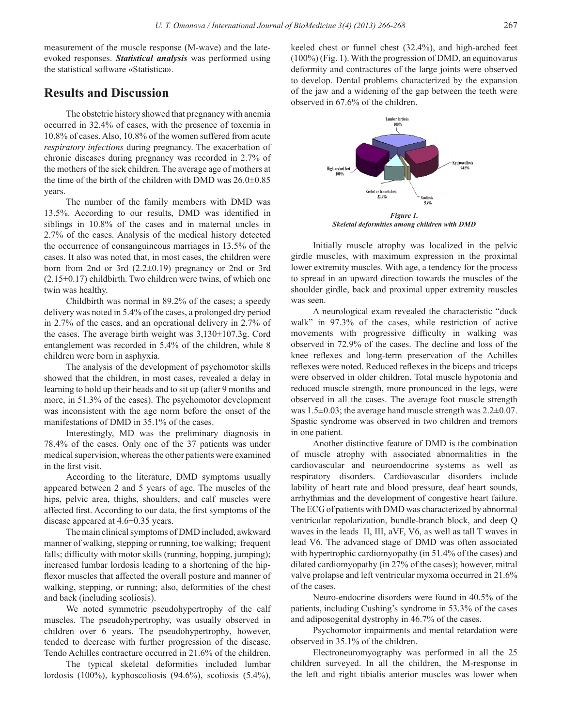measurement of the muscle response (M-wave) and the lateevoked responses. *Statistical analysis* was performed using the statistical software «Statistica».

#### **Results and Discussion**

The obstetric history showed that pregnancy with anemia occurred in 32.4% of cases, with the presence of toxemia in 10.8% of cases. Also, 10.8% of the women suffered from acute *respiratory infections* during pregnancy. The exacerbation of chronic diseases during pregnancy was recorded in 2.7% of the mothers of the sick children. The average age of mothers at the time of the birth of the children with DMD was 26.0±0.85 years.

The number of the family members with DMD was 13.5%. According to our results, DMD was identified in siblings in 10.8% of the cases and in maternal uncles in 2.7% of the cases. Analysis of the medical history detected the occurrence of consanguineous marriages in 13.5% of the cases. It also was noted that, in most cases, the children were born from 2nd or 3rd (2.2±0.19) pregnancy or 2nd or 3rd  $(2.15\pm0.17)$  childbirth. Two children were twins, of which one twin was healthy.

Childbirth was normal in 89.2% of the cases; a speedy delivery was noted in 5.4% of the cases, a prolonged dry period in 2.7% of the cases, and an operational delivery in 2.7% of the cases. The average birth weight was 3,130±107.3g. Cord entanglement was recorded in 5.4% of the children, while 8 children were born in asphyxia.

The analysis of the development of psychomotor skills showed that the children, in most cases, revealed a delay in learning to hold up their heads and to sit up (after 9 months and more, in 51.3% of the cases). The psychomotor development was inconsistent with the age norm before the onset of the manifestations of DMD in 35.1% of the cases.

Interestingly, MD was the preliminary diagnosis in 78.4% of the cases. Only one of the 37 patients was under medical supervision, whereas the other patients were examined in the first visit.

According to the literature, DMD symptoms usually appeared between 2 and 5 years of age. The muscles of the hips, pelvic area, thighs, shoulders, and calf muscles were affected first. According to our data, the first symptoms of the disease appeared at 4.6±0.35 years.

The main clinical symptoms of DMD included, awkward manner of walking, stepping or running, toe walking; frequent falls; difficulty with motor skills (running, hopping, jumping); increased lumbar lordosis leading to a shortening of the hipflexor muscles that affected the overall posture and manner of walking, stepping, or running; also, deformities of the chest and back (including scoliosis).

We noted symmetric pseudohypertrophy of the calf muscles. The pseudohypertrophy, was usually observed in children over 6 years. The pseudohypertrophy, however, tended to decrease with further progression of the disease. Tendo Achilles contracture occurred in 21.6% of the children.

The typical skeletal deformities included lumbar lordosis (100%), kyphoscoliosis (94.6%), scoliosis (5.4%), keeled chest or funnel chest (32.4%), and high-arched feet (100%) (Fig. 1). With the progression of DMD, an equinovarus deformity and contractures of the large joints were observed to develop. Dental problems characterized by the expansion of the jaw and a widening of the gap between the teeth were observed in 67.6% of the children.



*Skeletal deformities among children with DMD*

Initially muscle atrophy was localized in the pelvic girdle muscles, with maximum expression in the proximal lower extremity muscles. With age, a tendency for the process to spread in an upward direction towards the muscles of the shoulder girdle, back and proximal upper extremity muscles was seen.

A neurological exam revealed the characteristic "duck walk" in 97.3% of the cases, while restriction of active movements with progressive difficulty in walking was observed in 72.9% of the cases. The decline and loss of the knee reflexes and long-term preservation of the Achilles reflexes were noted. Reduced reflexes in the biceps and triceps were observed in older children. Total muscle hypotonia and reduced muscle strength, more pronounced in the legs, were observed in all the cases. The average foot muscle strength was 1.5±0.03; the average hand muscle strength was 2.2±0.07. Spastic syndrome was observed in two children and tremors in one patient.

Another distinctive feature of DMD is the combination of muscle atrophy with associated abnormalities in the cardiovascular and neuroendocrine systems as well as respiratory disorders. Cardiovascular disorders include lability of heart rate and blood pressure, deaf heart sounds, arrhythmias and the development of congestive heart failure. The ECG of patients with DMD was characterized by abnormal ventricular repolarization, bundle-branch block, and deep Q waves in the leads II, III, aVF, V6, as well as tall T waves in lead V6. The advanced stage of DMD was often associated with hypertrophic cardiomyopathy (in 51.4% of the cases) and dilated cardiomyopathy (in 27% of the cases); however, mitral valve prolapse and left ventricular myxoma occurred in 21.6% of the cases.

Neuro-endocrine disorders were found in 40.5% of the patients, including Cushing's syndrome in 53.3% of the cases and adiposogenital dystrophy in 46.7% of the cases.

Psychomotor impairments and mental retardation were observed in 35.1% of the children.

Electroneuromyography was performed in all the 25 children surveyed. In all the children, the M-response in the left and right tibialis anterior muscles was lower when